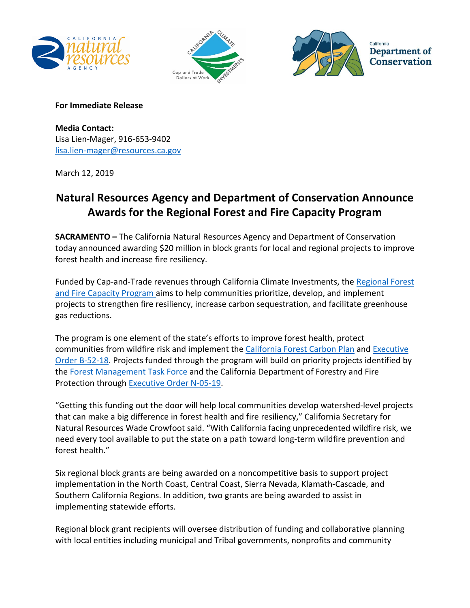





California Department of **Conservation** 

## **For Immediate Release**

**Media Contact:**  Lisa Lien-Mager, 916-653-9402 [lisa.lien-mager@resources.ca.gov](mailto:Lisa.Lien-Mager@resources.ca.gov)

March 12, 2019

## **Natural Resources Agency and Department of Conservation Announce Awards for the Regional Forest and Fire Capacity Program**

**SACRAMENTO –** The California Natural Resources Agency and Department of Conservation today announced awarding \$20 million in block grants for local and regional projects to improve forest health and increase fire resiliency.

Funded by Cap-and-Trade revenues through California Climate Investments, the Regional Forest [and Fire Capacity Program](https://www.conservation.ca.gov/dlrp/grant-programs/Pages/Regional-Forest-and-Fire-Capacity-Program.aspx) aims to help communities prioritize, develop, and implement projects to strengthen fire resiliency, increase carbon sequestration, and facilitate greenhouse gas reductions.

The program is one element of the state's efforts to improve forest health, protect communities from wildfire risk and implement the [California Forest Carbon Plan](http://resources.ca.gov/wp-content/uploads/2018/05/California-Forest-Carbon-Plan-Final-Draft-for-Public-Release-May-2018.pdf) and Executive [Order B-52-18.](https://www.gov.ca.gov/wp-content/uploads/2018/05/5.10.18-Forest-EO.pdf) Projects funded through the program will build on priority projects identified by the [Forest Management Task Force](https://fmtf.fire.ca.gov/) and the California Department of Forestry and Fire Protection through [Executive Order N-05-19.](https://www.gov.ca.gov/wp-content/uploads/2019/01/1.8.19-EO-N-05-19.pdf)

"Getting this funding out the door will help local communities develop watershed-level projects that can make a big difference in forest health and fire resiliency," California Secretary for Natural Resources Wade Crowfoot said. "With California facing unprecedented wildfire risk, we need every tool available to put the state on a path toward long-term wildfire prevention and forest health."

Six regional block grants are being awarded on a noncompetitive basis to support project implementation in the North Coast, Central Coast, Sierra Nevada, Klamath-Cascade, and Southern California Regions. In addition, two grants are being awarded to assist in implementing statewide efforts.

Regional block grant recipients will oversee distribution of funding and collaborative planning with local entities including municipal and Tribal governments, nonprofits and community